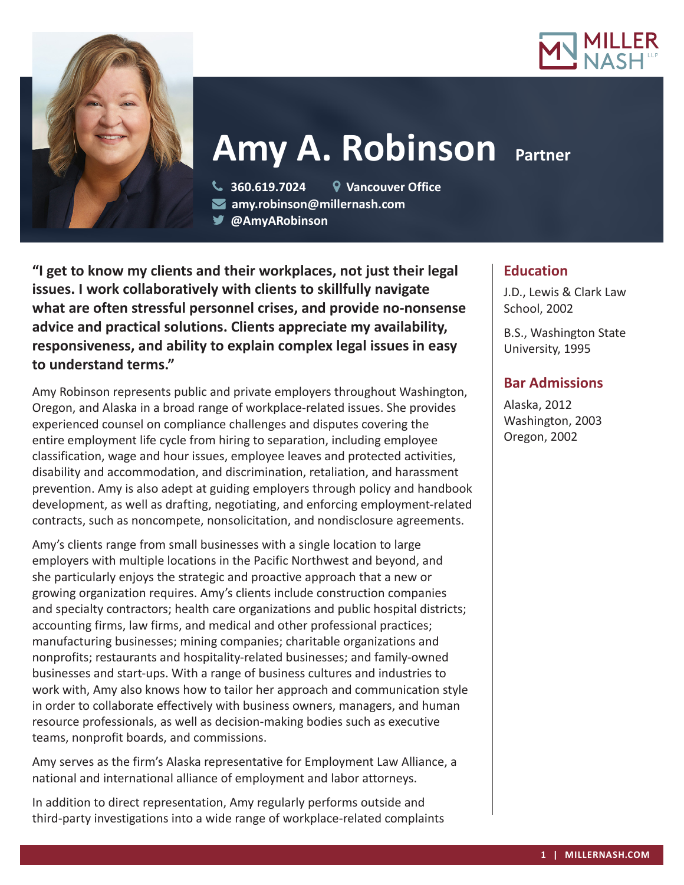



# **Amy A. Robinson** Partner

 **360.619.7024 Vancouver Office amy.robinson@millernash.com** 

**@AmyARobinson**

**"I get to know my clients and their workplaces, not just their legal issues. I work collaboratively with clients to skillfully navigate what are often stressful personnel crises, and provide no-nonsense advice and practical solutions. Clients appreciate my availability, responsiveness, and ability to explain complex legal issues in easy to understand terms."**

Amy Robinson represents public and private employers throughout Washington, Oregon, and Alaska in a broad range of workplace-related issues. She provides experienced counsel on compliance challenges and disputes covering the entire employment life cycle from hiring to separation, including employee classification, wage and hour issues, employee leaves and protected activities, disability and accommodation, and discrimination, retaliation, and harassment prevention. Amy is also adept at guiding employers through policy and handbook development, as well as drafting, negotiating, and enforcing employment-related contracts, such as noncompete, nonsolicitation, and nondisclosure agreements.

Amy's clients range from small businesses with a single location to large employers with multiple locations in the Pacific Northwest and beyond, and she particularly enjoys the strategic and proactive approach that a new or growing organization requires. Amy's clients include construction companies and specialty contractors; health care organizations and public hospital districts; accounting firms, law firms, and medical and other professional practices; manufacturing businesses; mining companies; charitable organizations and nonprofits; restaurants and hospitality-related businesses; and family-owned businesses and start-ups. With a range of business cultures and industries to work with, Amy also knows how to tailor her approach and communication style in order to collaborate effectively with business owners, managers, and human resource professionals, as well as decision-making bodies such as executive teams, nonprofit boards, and commissions.

Amy serves as the firm's Alaska representative for Employment Law Alliance, a national and international alliance of employment and labor attorneys.

In addition to direct representation, Amy regularly performs outside and third-party investigations into a wide range of workplace-related complaints

## **Education**

J.D., Lewis & Clark Law School, 2002

B.S., Washington State University, 1995

## **Bar Admissions**

Alaska, 2012 Washington, 2003 Oregon, 2002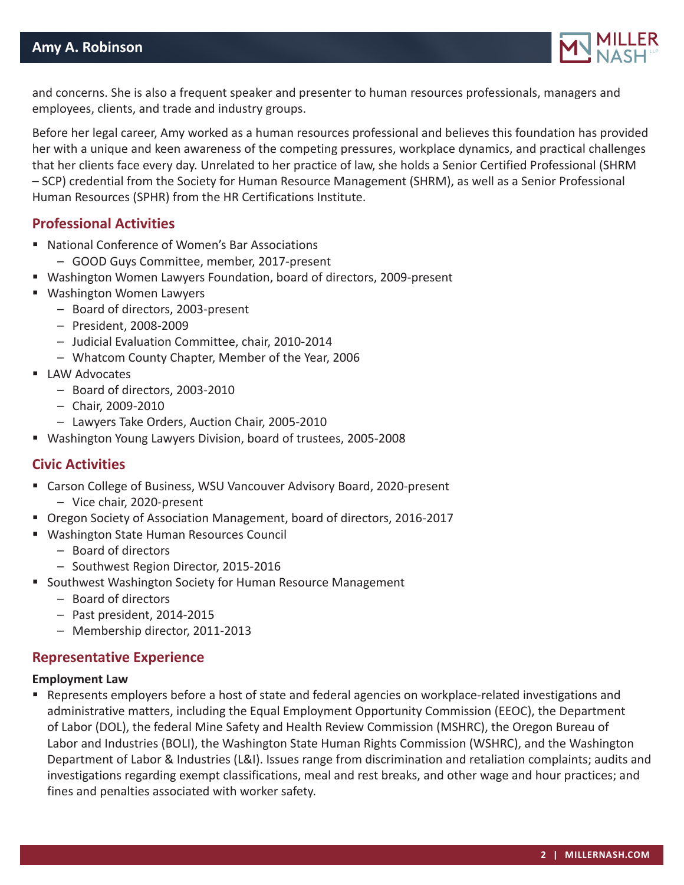

and concerns. She is also a frequent speaker and presenter to human resources professionals, managers and employees, clients, and trade and industry groups.

Before her legal career, Amy worked as a human resources professional and believes this foundation has provided her with a unique and keen awareness of the competing pressures, workplace dynamics, and practical challenges that her clients face every day. Unrelated to her practice of law, she holds a Senior Certified Professional (SHRM – SCP) credential from the Society for Human Resource Management (SHRM), as well as a Senior Professional Human Resources (SPHR) from the HR Certifications Institute.

### **Professional Activities**

- National Conference of Women's Bar Associations
	- GOOD Guys Committee, member, 2017-present
- Washington Women Lawyers Foundation, board of directors, 2009-present
- Washington Women Lawyers
	- Board of directors, 2003-present
	- President, 2008-2009
	- Judicial Evaluation Committee, chair, 2010-2014
	- Whatcom County Chapter, Member of the Year, 2006
- **LAW Advocates** 
	- Board of directors, 2003-2010
	- Chair, 2009-2010
	- Lawyers Take Orders, Auction Chair, 2005-2010
- Washington Young Lawyers Division, board of trustees, 2005-2008

#### **Civic Activities**

- Carson College of Business, WSU Vancouver Advisory Board, 2020-present
	- Vice chair, 2020-present
- Oregon Society of Association Management, board of directors, 2016-2017
- Washington State Human Resources Council
	- Board of directors
	- Southwest Region Director, 2015-2016
- Southwest Washington Society for Human Resource Management
	- Board of directors
	- Past president, 2014-2015
	- Membership director, 2011-2013

#### **Representative Experience**

#### **Employment Law**

 Represents employers before a host of state and federal agencies on workplace-related investigations and administrative matters, including the Equal Employment Opportunity Commission (EEOC), the Department of Labor (DOL), the federal Mine Safety and Health Review Commission (MSHRC), the Oregon Bureau of Labor and Industries (BOLI), the Washington State Human Rights Commission (WSHRC), and the Washington Department of Labor & Industries (L&I). Issues range from discrimination and retaliation complaints; audits and investigations regarding exempt classifications, meal and rest breaks, and other wage and hour practices; and fines and penalties associated with worker safety.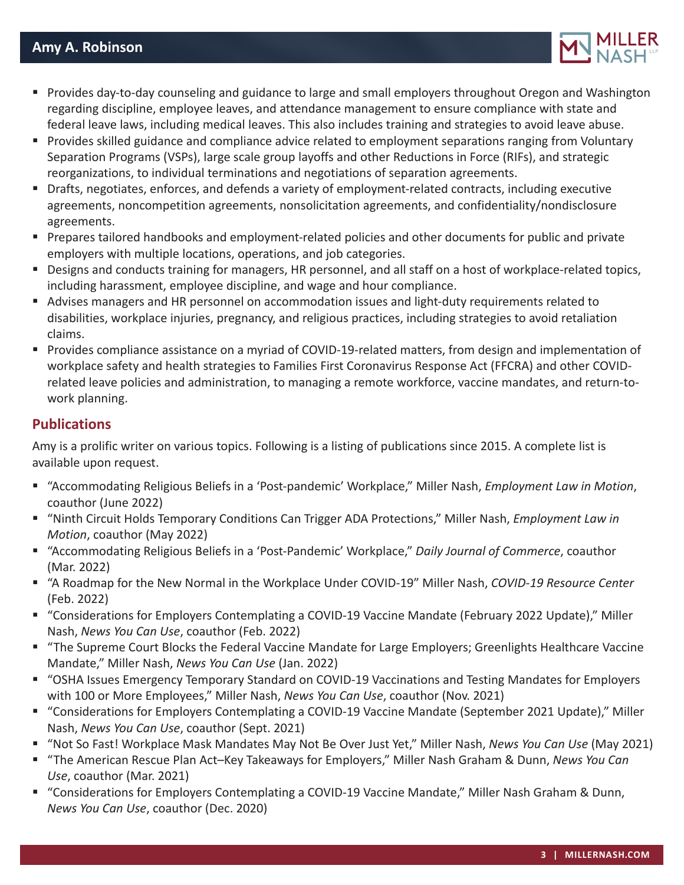

- Provides day-to-day counseling and guidance to large and small employers throughout Oregon and Washington regarding discipline, employee leaves, and attendance management to ensure compliance with state and federal leave laws, including medical leaves. This also includes training and strategies to avoid leave abuse.
- **Provides skilled guidance and compliance advice related to employment separations ranging from Voluntary** Separation Programs (VSPs), large scale group layoffs and other Reductions in Force (RIFs), and strategic reorganizations, to individual terminations and negotiations of separation agreements.
- Drafts, negotiates, enforces, and defends a variety of employment-related contracts, including executive agreements, noncompetition agreements, nonsolicitation agreements, and confidentiality/nondisclosure agreements.
- **Prepares tailored handbooks and employment-related policies and other documents for public and private** employers with multiple locations, operations, and job categories.
- Designs and conducts training for managers, HR personnel, and all staff on a host of workplace-related topics, including harassment, employee discipline, and wage and hour compliance.
- Advises managers and HR personnel on accommodation issues and light-duty requirements related to disabilities, workplace injuries, pregnancy, and religious practices, including strategies to avoid retaliation claims.
- Provides compliance assistance on a myriad of COVID-19-related matters, from design and implementation of workplace safety and health strategies to Families First Coronavirus Response Act (FFCRA) and other COVIDrelated leave policies and administration, to managing a remote workforce, vaccine mandates, and return-towork planning.

## **Publications**

Amy is a prolific writer on various topics. Following is a listing of publications since 2015. A complete list is available upon request.

- "Accommodating Religious Beliefs in a 'Post-pandemic' Workplace," Miller Nash, *Employment Law in Motion*, coauthor (June 2022)
- "Ninth Circuit Holds Temporary Conditions Can Trigger ADA Protections," Miller Nash, *Employment Law in Motion*, coauthor (May 2022)
- "Accommodating Religious Beliefs in a 'Post-Pandemic' Workplace," *Daily Journal of Commerce*, coauthor (Mar. 2022)
- "A Roadmap for the New Normal in the Workplace Under COVID-19" Miller Nash, *COVID-19 Resource Center* (Feb. 2022)
- "Considerations for Employers Contemplating a COVID-19 Vaccine Mandate (February 2022 Update)," Miller Nash, *News You Can Use*, coauthor (Feb. 2022)
- "The Supreme Court Blocks the Federal Vaccine Mandate for Large Employers; Greenlights Healthcare Vaccine Mandate," Miller Nash, *News You Can Use* (Jan. 2022)
- "OSHA Issues Emergency Temporary Standard on COVID-19 Vaccinations and Testing Mandates for Employers with 100 or More Employees," Miller Nash, *News You Can Use*, coauthor (Nov. 2021)
- "Considerations for Employers Contemplating a COVID-19 Vaccine Mandate (September 2021 Update)," Miller Nash, *News You Can Use*, coauthor (Sept. 2021)
- "Not So Fast! Workplace Mask Mandates May Not Be Over Just Yet," Miller Nash, *News You Can Use* (May 2021)
- "The American Rescue Plan Act–Key Takeaways for Employers," Miller Nash Graham & Dunn, *News You Can Use*, coauthor (Mar. 2021)
- "Considerations for Employers Contemplating a COVID-19 Vaccine Mandate," Miller Nash Graham & Dunn, *News You Can Use*, coauthor (Dec. 2020)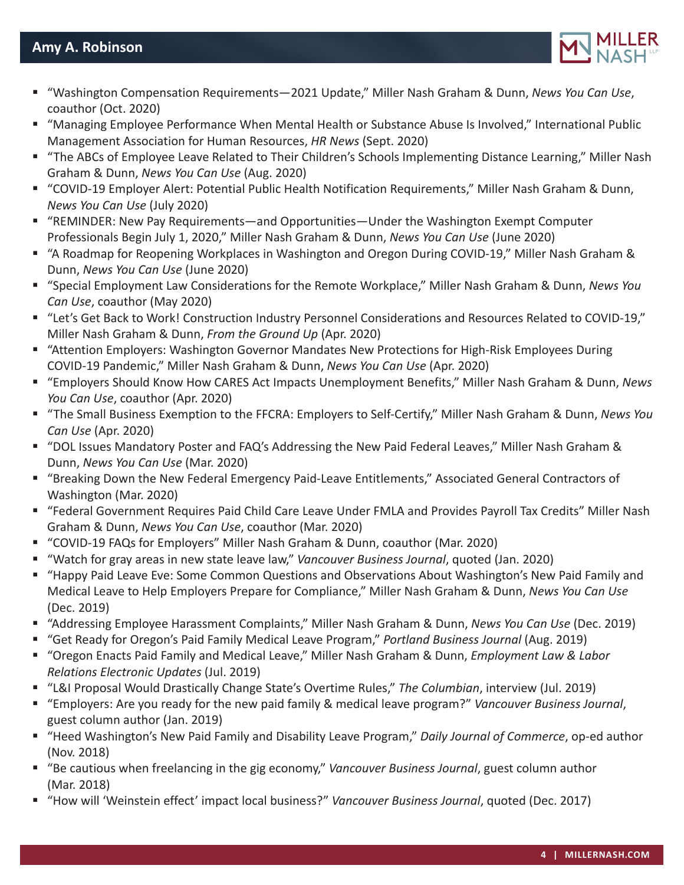

- "Washington Compensation Requirements—2021 Update," Miller Nash Graham & Dunn, *News You Can Use*, coauthor (Oct. 2020)
- "Managing Employee Performance When Mental Health or Substance Abuse Is Involved," International Public Management Association for Human Resources, *HR News* (Sept. 2020)
- "The ABCs of Employee Leave Related to Their Children's Schools Implementing Distance Learning," Miller Nash Graham & Dunn, *News You Can Use* (Aug. 2020)
- "COVID-19 Employer Alert: Potential Public Health Notification Requirements," Miller Nash Graham & Dunn, *News You Can Use* (July 2020)
- "REMINDER: New Pay Requirements—and Opportunities—Under the Washington Exempt Computer Professionals Begin July 1, 2020," Miller Nash Graham & Dunn, *News You Can Use* (June 2020)
- "A Roadmap for Reopening Workplaces in Washington and Oregon During COVID-19," Miller Nash Graham & Dunn, *News You Can Use* (June 2020)
- "Special Employment Law Considerations for the Remote Workplace," Miller Nash Graham & Dunn, *News You Can Use*, coauthor (May 2020)
- "Let's Get Back to Work! Construction Industry Personnel Considerations and Resources Related to COVID-19," Miller Nash Graham & Dunn, *From the Ground Up* (Apr. 2020)
- "Attention Employers: Washington Governor Mandates New Protections for High-Risk Employees During COVID-19 Pandemic," Miller Nash Graham & Dunn, *News You Can Use* (Apr. 2020)
- "Employers Should Know How CARES Act Impacts Unemployment Benefits," Miller Nash Graham & Dunn, *News You Can Use*, coauthor (Apr. 2020)
- "The Small Business Exemption to the FFCRA: Employers to Self-Certify," Miller Nash Graham & Dunn, *News You Can Use* (Apr. 2020)
- "DOL Issues Mandatory Poster and FAQ's Addressing the New Paid Federal Leaves," Miller Nash Graham & Dunn, *News You Can Use* (Mar. 2020)
- "Breaking Down the New Federal Emergency Paid-Leave Entitlements," Associated General Contractors of Washington (Mar. 2020)
- "Federal Government Requires Paid Child Care Leave Under FMLA and Provides Payroll Tax Credits" Miller Nash Graham & Dunn, *News You Can Use*, coauthor (Mar. 2020)
- "COVID-19 FAQs for Employers" Miller Nash Graham & Dunn, coauthor (Mar. 2020)
- "Watch for gray areas in new state leave law," *Vancouver Business Journal*, quoted (Jan. 2020)
- "Happy Paid Leave Eve: Some Common Questions and Observations About Washington's New Paid Family and Medical Leave to Help Employers Prepare for Compliance," Miller Nash Graham & Dunn, *News You Can Use* (Dec. 2019)
- "Addressing Employee Harassment Complaints," Miller Nash Graham & Dunn, *News You Can Use* (Dec. 2019)
- "Get Ready for Oregon's Paid Family Medical Leave Program," *Portland Business Journal* (Aug. 2019)
- "Oregon Enacts Paid Family and Medical Leave," Miller Nash Graham & Dunn, *Employment Law & Labor Relations Electronic Updates* (Jul. 2019)
- "L&I Proposal Would Drastically Change State's Overtime Rules," *The Columbian*, interview (Jul. 2019)
- "Employers: Are you ready for the new paid family & medical leave program?" *Vancouver Business Journal*, guest column author (Jan. 2019)
- "Heed Washington's New Paid Family and Disability Leave Program," *Daily Journal of Commerce*, op-ed author (Nov. 2018)
- "Be cautious when freelancing in the gig economy," *Vancouver Business Journal*, guest column author (Mar. 2018)
- "How will 'Weinstein effect' impact local business?" *Vancouver Business Journal*, quoted (Dec. 2017)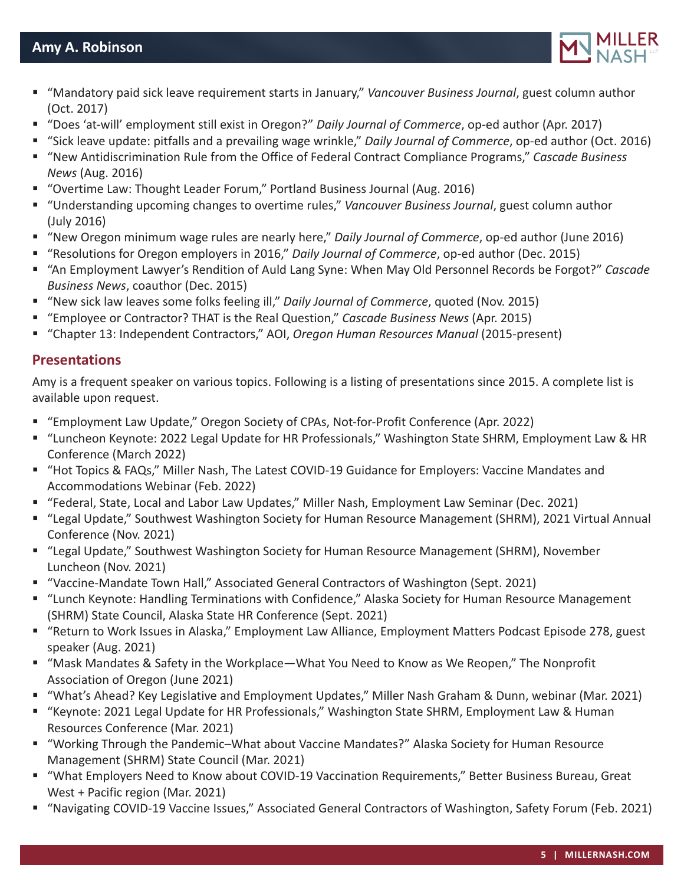

- "Mandatory paid sick leave requirement starts in January," *Vancouver Business Journal*, guest column author (Oct. 2017)
- "Does 'at-will' employment still exist in Oregon?" *Daily Journal of Commerce*, op-ed author (Apr. 2017)
- "Sick leave update: pitfalls and a prevailing wage wrinkle," *Daily Journal of Commerce*, op-ed author (Oct. 2016)
- "New Antidiscrimination Rule from the Office of Federal Contract Compliance Programs," *Cascade Business News* (Aug. 2016)
- "Overtime Law: Thought Leader Forum," Portland Business Journal (Aug. 2016)
- "Understanding upcoming changes to overtime rules," *Vancouver Business Journal*, guest column author (July 2016)
- "New Oregon minimum wage rules are nearly here," *Daily Journal of Commerce*, op-ed author (June 2016)
- "Resolutions for Oregon employers in 2016," *Daily Journal of Commerce*, op-ed author (Dec. 2015)
- "An Employment Lawyer's Rendition of Auld Lang Syne: When May Old Personnel Records be Forgot?" *Cascade Business News*, coauthor (Dec. 2015)
- "New sick law leaves some folks feeling ill," *Daily Journal of Commerce*, quoted (Nov. 2015)
- "Employee or Contractor? THAT is the Real Question," *Cascade Business News* (Apr. 2015)
- "Chapter 13: Independent Contractors," AOI, *Oregon Human Resources Manual* (2015-present)

## **Presentations**

Amy is a frequent speaker on various topics. Following is a listing of presentations since 2015. A complete list is available upon request.

- "Employment Law Update," Oregon Society of CPAs, Not-for-Profit Conference (Apr. 2022)
- "Luncheon Keynote: 2022 Legal Update for HR Professionals," Washington State SHRM, Employment Law & HR Conference (March 2022)
- "Hot Topics & FAQs," Miller Nash, The Latest COVID-19 Guidance for Employers: Vaccine Mandates and Accommodations Webinar (Feb. 2022)
- "Federal, State, Local and Labor Law Updates," Miller Nash, Employment Law Seminar (Dec. 2021)
- "Legal Update," Southwest Washington Society for Human Resource Management (SHRM), 2021 Virtual Annual Conference (Nov. 2021)
- "Legal Update," Southwest Washington Society for Human Resource Management (SHRM), November Luncheon (Nov. 2021)
- "Vaccine-Mandate Town Hall," Associated General Contractors of Washington (Sept. 2021)
- "Lunch Keynote: Handling Terminations with Confidence," Alaska Society for Human Resource Management (SHRM) State Council, Alaska State HR Conference (Sept. 2021)
- "Return to Work Issues in Alaska," Employment Law Alliance, Employment Matters Podcast Episode 278, guest speaker (Aug. 2021)
- "Mask Mandates & Safety in the Workplace—What You Need to Know as We Reopen," The Nonprofit Association of Oregon (June 2021)
- "What's Ahead? Key Legislative and Employment Updates," Miller Nash Graham & Dunn, webinar (Mar. 2021)
- "Keynote: 2021 Legal Update for HR Professionals," Washington State SHRM, Employment Law & Human Resources Conference (Mar. 2021)
- "Working Through the Pandemic–What about Vaccine Mandates?" Alaska Society for Human Resource Management (SHRM) State Council (Mar. 2021)
- "What Employers Need to Know about COVID-19 Vaccination Requirements," Better Business Bureau, Great West + Pacific region (Mar. 2021)
- "Navigating COVID-19 Vaccine Issues," Associated General Contractors of Washington, Safety Forum (Feb. 2021)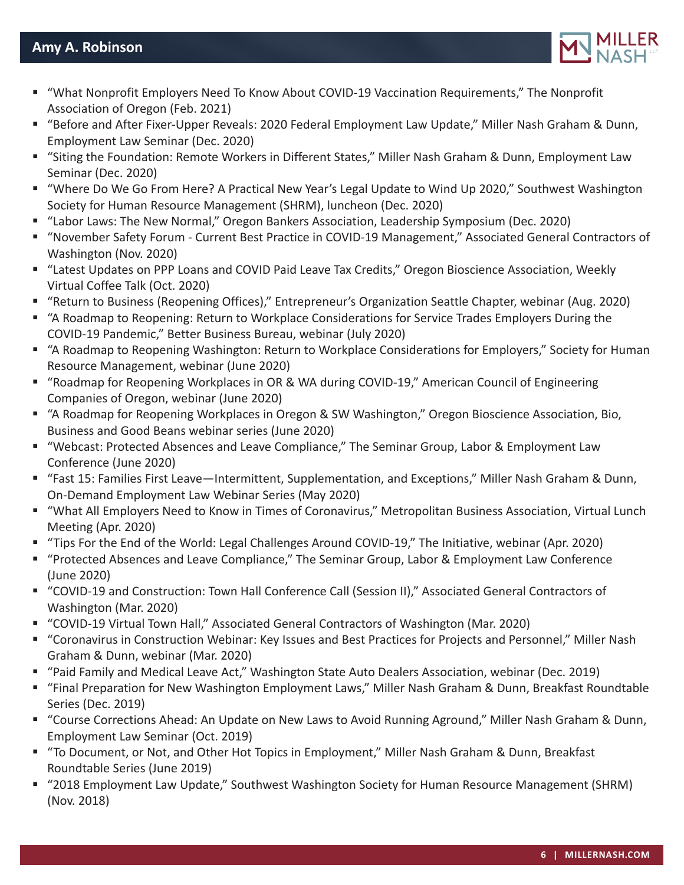

- "What Nonprofit Employers Need To Know About COVID-19 Vaccination Requirements," The Nonprofit Association of Oregon (Feb. 2021)
- "Before and After Fixer-Upper Reveals: 2020 Federal Employment Law Update," Miller Nash Graham & Dunn, Employment Law Seminar (Dec. 2020)
- "Siting the Foundation: Remote Workers in Different States," Miller Nash Graham & Dunn, Employment Law Seminar (Dec. 2020)
- "Where Do We Go From Here? A Practical New Year's Legal Update to Wind Up 2020," Southwest Washington Society for Human Resource Management (SHRM), luncheon (Dec. 2020)
- "Labor Laws: The New Normal," Oregon Bankers Association, Leadership Symposium (Dec. 2020)
- "November Safety Forum Current Best Practice in COVID-19 Management," Associated General Contractors of Washington (Nov. 2020)
- "Latest Updates on PPP Loans and COVID Paid Leave Tax Credits," Oregon Bioscience Association, Weekly Virtual Coffee Talk (Oct. 2020)
- "Return to Business (Reopening Offices)," Entrepreneur's Organization Seattle Chapter, webinar (Aug. 2020)
- "A Roadmap to Reopening: Return to Workplace Considerations for Service Trades Employers During the COVID-19 Pandemic," Better Business Bureau, webinar (July 2020)
- "A Roadmap to Reopening Washington: Return to Workplace Considerations for Employers," Society for Human Resource Management, webinar (June 2020)
- "Roadmap for Reopening Workplaces in OR & WA during COVID-19," American Council of Engineering Companies of Oregon, webinar (June 2020)
- "A Roadmap for Reopening Workplaces in Oregon & SW Washington," Oregon Bioscience Association, Bio, Business and Good Beans webinar series (June 2020)
- "Webcast: Protected Absences and Leave Compliance," The Seminar Group, Labor & Employment Law Conference (June 2020)
- "Fast 15: Families First Leave—Intermittent, Supplementation, and Exceptions," Miller Nash Graham & Dunn, On-Demand Employment Law Webinar Series (May 2020)
- "What All Employers Need to Know in Times of Coronavirus," Metropolitan Business Association, Virtual Lunch Meeting (Apr. 2020)
- "Tips For the End of the World: Legal Challenges Around COVID-19," The Initiative, webinar (Apr. 2020)
- "Protected Absences and Leave Compliance," The Seminar Group, Labor & Employment Law Conference (June 2020)
- "COVID-19 and Construction: Town Hall Conference Call (Session II)," Associated General Contractors of Washington (Mar. 2020)
- "COVID-19 Virtual Town Hall," Associated General Contractors of Washington (Mar. 2020)
- "Coronavirus in Construction Webinar: Key Issues and Best Practices for Projects and Personnel," Miller Nash Graham & Dunn, webinar (Mar. 2020)
- "Paid Family and Medical Leave Act," Washington State Auto Dealers Association, webinar (Dec. 2019)
- "Final Preparation for New Washington Employment Laws," Miller Nash Graham & Dunn, Breakfast Roundtable Series (Dec. 2019)
- "Course Corrections Ahead: An Update on New Laws to Avoid Running Aground," Miller Nash Graham & Dunn, Employment Law Seminar (Oct. 2019)
- "To Document, or Not, and Other Hot Topics in Employment," Miller Nash Graham & Dunn, Breakfast Roundtable Series (June 2019)
- "2018 Employment Law Update," Southwest Washington Society for Human Resource Management (SHRM) (Nov. 2018)